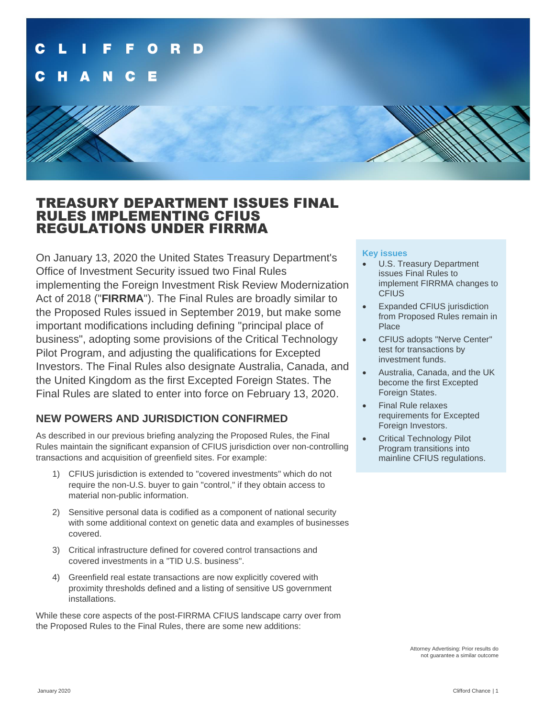

## TREASURY DEPARTMENT ISSUES FINAL RULES IMPLEMENTING CFIUS REGULATIONS UNDER FIRRMA

On January 13, 2020 the United States Treasury Department's Office of Investment Security issued two Final Rules implementing the Foreign Investment Risk Review Modernization Act of 2018 ("**FIRRMA**"). The Final Rules are broadly similar to the Proposed Rules issued in September 2019, but make some important modifications including defining "principal place of business", adopting some provisions of the Critical Technology Pilot Program, and adjusting the qualifications for Excepted Investors. The Final Rules also designate Australia, Canada, and the United Kingdom as the first Excepted Foreign States. The Final Rules are slated to enter into force on February 13, 2020.

## **NEW POWERS AND JURISDICTION CONFIRMED**

As described in our previous briefing analyzing the Proposed Rules, the Final Rules maintain the significant expansion of CFIUS jurisdiction over non-controlling transactions and acquisition of greenfield sites. For example:

- 1) CFIUS jurisdiction is extended to "covered investments" which do not require the non-U.S. buyer to gain "control," if they obtain access to material non-public information.
- 2) Sensitive personal data is codified as a component of national security with some additional context on genetic data and examples of businesses covered.
- 3) Critical infrastructure defined for covered control transactions and covered investments in a "TID U.S. business".
- 4) Greenfield real estate transactions are now explicitly covered with proximity thresholds defined and a listing of sensitive US government installations.

While these core aspects of the post-FIRRMA CFIUS landscape carry over from the Proposed Rules to the Final Rules, there are some new additions:

#### **Key issues**

- U.S. Treasury Department issues Final Rules to implement FIRRMA changes to **CFIUS**
- Expanded CFIUS jurisdiction from Proposed Rules remain in Place
- CFIUS adopts "Nerve Center" test for transactions by investment funds.
- Australia, Canada, and the UK become the first Excepted Foreign States.
- Final Rule relaxes requirements for Excepted Foreign Investors.
- Critical Technology Pilot Program transitions into mainline CFIUS regulations.

Attorney Advertising: Prior results do not guarantee a similar outcome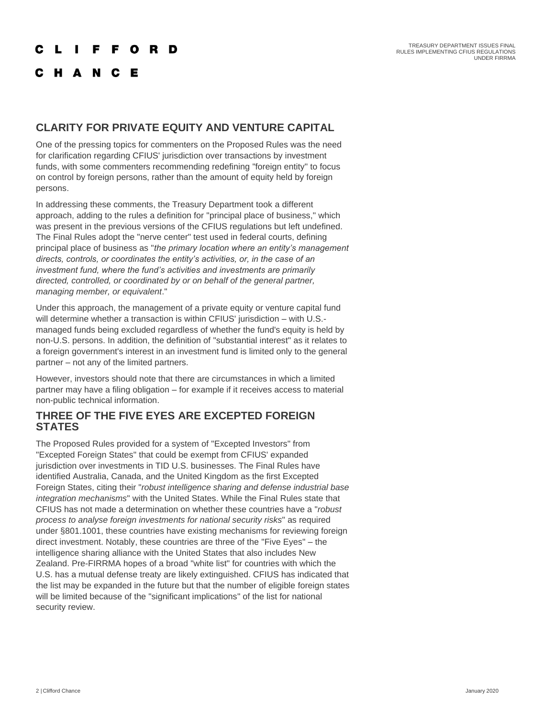## C L I F F O R D

## **CHANCE**

## **CLARITY FOR PRIVATE EQUITY AND VENTURE CAPITAL**

One of the pressing topics for commenters on the Proposed Rules was the need for clarification regarding CFIUS' jurisdiction over transactions by investment funds, with some commenters recommending redefining "foreign entity" to focus on control by foreign persons, rather than the amount of equity held by foreign persons.

In addressing these comments, the Treasury Department took a different approach, adding to the rules a definition for "principal place of business," which was present in the previous versions of the CFIUS regulations but left undefined. The Final Rules adopt the "nerve center" test used in federal courts, defining principal place of business as "*the primary location where an entity's management directs, controls, or coordinates the entity's activities, or, in the case of an investment fund, where the fund's activities and investments are primarily directed, controlled, or coordinated by or on behalf of the general partner, managing member, or equivalent*."

Under this approach, the management of a private equity or venture capital fund will determine whether a transaction is within CFIUS' jurisdiction – with U.S.managed funds being excluded regardless of whether the fund's equity is held by non-U.S. persons. In addition, the definition of "substantial interest" as it relates to a foreign government's interest in an investment fund is limited only to the general partner – not any of the limited partners.

However, investors should note that there are circumstances in which a limited partner may have a filing obligation – for example if it receives access to material non-public technical information.

#### **THREE OF THE FIVE EYES ARE EXCEPTED FOREIGN STATES**

The Proposed Rules provided for a system of "Excepted Investors" from "Excepted Foreign States" that could be exempt from CFIUS' expanded jurisdiction over investments in TID U.S. businesses. The Final Rules have identified Australia, Canada, and the United Kingdom as the first Excepted Foreign States, citing their "*robust intelligence sharing and defense industrial base integration mechanisms*" with the United States. While the Final Rules state that CFIUS has not made a determination on whether these countries have a "*robust process to analyse foreign investments for national security risks*" as required under §801.1001, these countries have existing mechanisms for reviewing foreign direct investment. Notably, these countries are three of the "Five Eyes" – the intelligence sharing alliance with the United States that also includes New Zealand. Pre-FIRRMA hopes of a broad "white list" for countries with which the U.S. has a mutual defense treaty are likely extinguished. CFIUS has indicated that the list may be expanded in the future but that the number of eligible foreign states will be limited because of the "significant implications" of the list for national security review.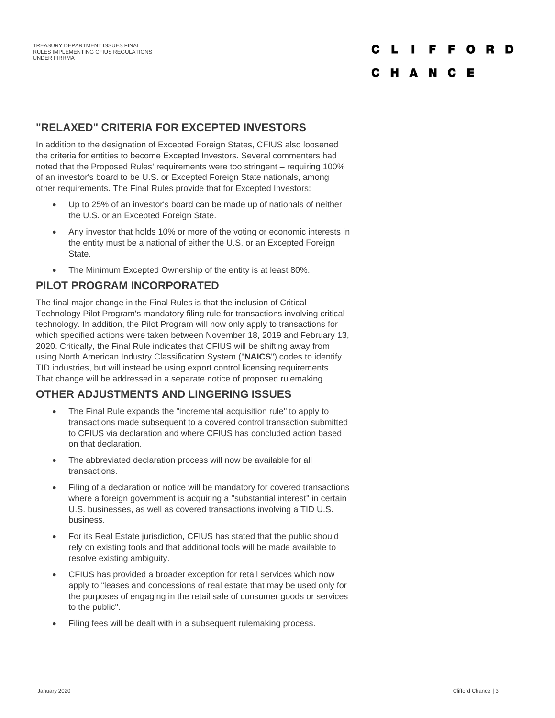# C L I F F O R D

## C H A N C E

#### **"RELAXED" CRITERIA FOR EXCEPTED INVESTORS**

In addition to the designation of Excepted Foreign States, CFIUS also loosened the criteria for entities to become Excepted Investors. Several commenters had noted that the Proposed Rules' requirements were too stringent – requiring 100% of an investor's board to be U.S. or Excepted Foreign State nationals, among other requirements. The Final Rules provide that for Excepted Investors:

- Up to 25% of an investor's board can be made up of nationals of neither the U.S. or an Excepted Foreign State.
- Any investor that holds 10% or more of the voting or economic interests in the entity must be a national of either the U.S. or an Excepted Foreign State.
- The Minimum Excepted Ownership of the entity is at least 80%.

#### **PILOT PROGRAM INCORPORATED**

The final major change in the Final Rules is that the inclusion of Critical Technology Pilot Program's mandatory filing rule for transactions involving critical technology. In addition, the Pilot Program will now only apply to transactions for which specified actions were taken between November 18, 2019 and February 13, 2020. Critically, the Final Rule indicates that CFIUS will be shifting away from using North American Industry Classification System ("**NAICS**") codes to identify TID industries, but will instead be using export control licensing requirements. That change will be addressed in a separate notice of proposed rulemaking.

#### **OTHER ADJUSTMENTS AND LINGERING ISSUES**

- The Final Rule expands the "incremental acquisition rule" to apply to transactions made subsequent to a covered control transaction submitted to CFIUS via declaration and where CFIUS has concluded action based on that declaration.
- The abbreviated declaration process will now be available for all transactions.
- Filing of a declaration or notice will be mandatory for covered transactions where a foreign government is acquiring a "substantial interest" in certain U.S. businesses, as well as covered transactions involving a TID U.S. business.
- For its Real Estate jurisdiction, CFIUS has stated that the public should rely on existing tools and that additional tools will be made available to resolve existing ambiguity.
- CFIUS has provided a broader exception for retail services which now apply to "leases and concessions of real estate that may be used only for the purposes of engaging in the retail sale of consumer goods or services to the public".
- Filing fees will be dealt with in a subsequent rulemaking process.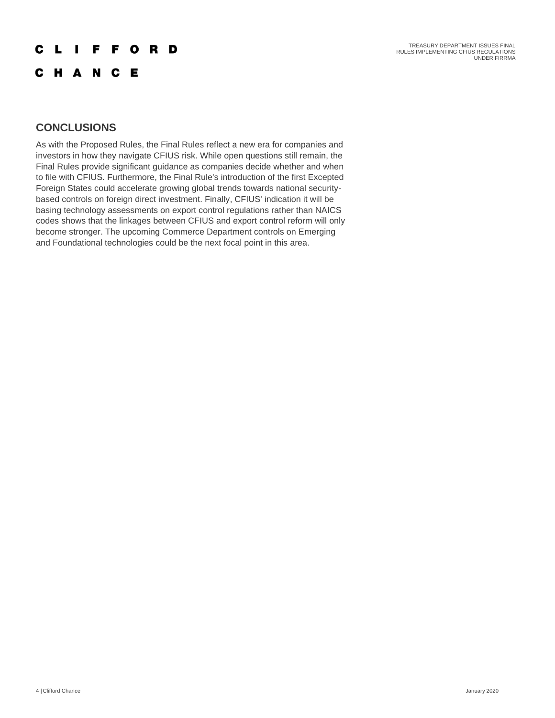TREASURY DEPARTMENT ISSUES FINAL RULES IMPLEMENTING CFIUS REGULATIONS UNDER FIRRMA

## **CLIFFORD**

C H A N C E

### **CONCLUSIONS**

As with the Proposed Rules, the Final Rules reflect a new era for companies and investors in how they navigate CFIUS risk. While open questions still remain, the Final Rules provide significant guidance as companies decide whether and when to file with CFIUS. Furthermore, the Final Rule's introduction of the first Excepted Foreign States could accelerate growing global trends towards national securitybased controls on foreign direct investment. Finally, CFIUS' indication it will be basing technology assessments on export control regulations rather than NAICS codes shows that the linkages between CFIUS and export control reform will only become stronger. The upcoming Commerce Department controls on Emerging and Foundational technologies could be the next focal point in this area.